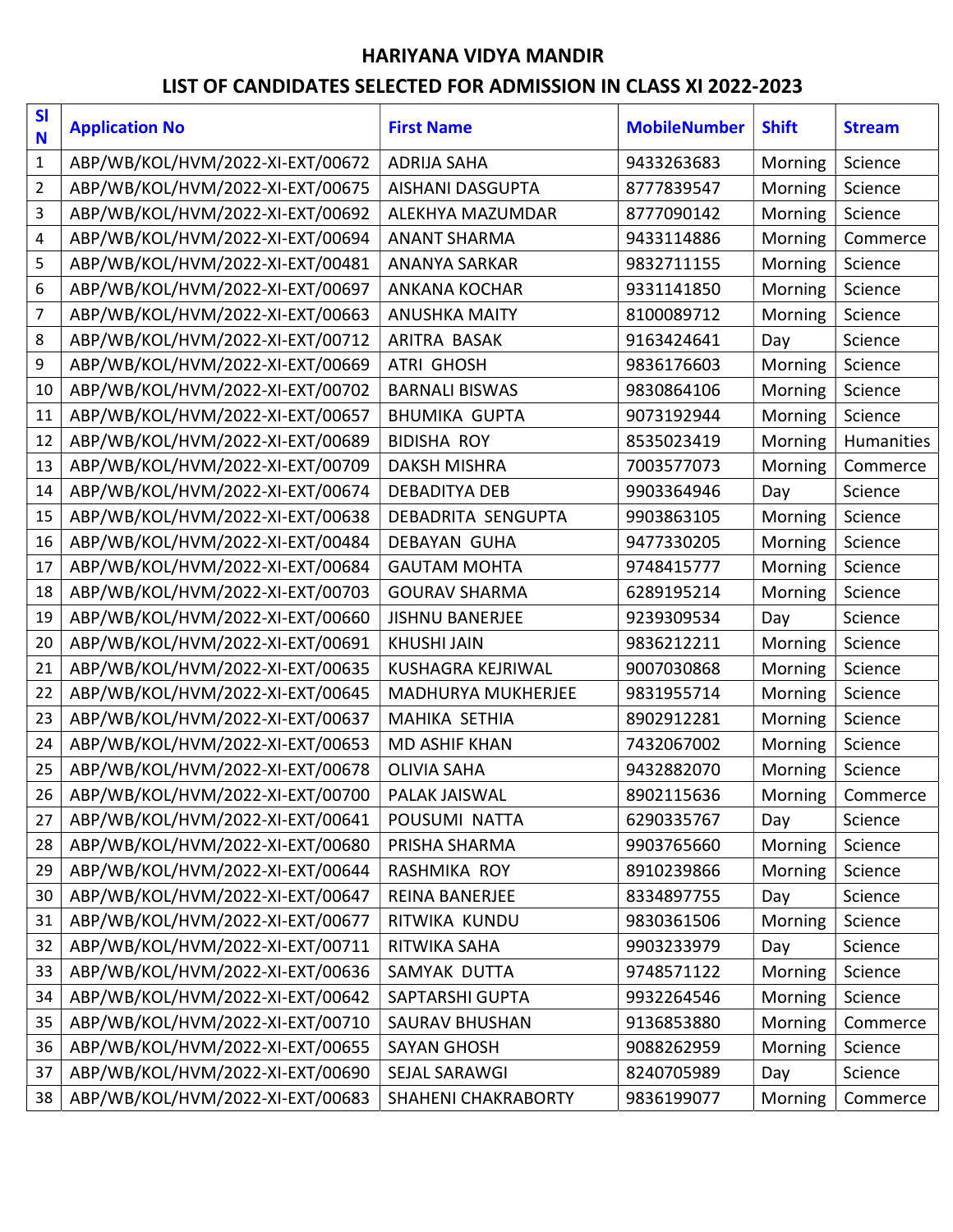## HARIYANA VIDYA MANDIR

## LIST OF CANDIDATES SELECTED FOR ADMISSION IN CLASS XI 2022-2023

| S <sub>l</sub><br>N | <b>Application No</b>            | <b>First Name</b>          | <b>MobileNumber</b> | <b>Shift</b> | <b>Stream</b> |
|---------------------|----------------------------------|----------------------------|---------------------|--------------|---------------|
| $\mathbf{1}$        | ABP/WB/KOL/HVM/2022-XI-EXT/00672 | <b>ADRIJA SAHA</b>         | 9433263683          | Morning      | Science       |
| $\overline{2}$      | ABP/WB/KOL/HVM/2022-XI-EXT/00675 | <b>AISHANI DASGUPTA</b>    | 8777839547          | Morning      | Science       |
| 3                   | ABP/WB/KOL/HVM/2022-XI-EXT/00692 | ALEKHYA MAZUMDAR           | 8777090142          | Morning      | Science       |
| 4                   | ABP/WB/KOL/HVM/2022-XI-EXT/00694 | <b>ANANT SHARMA</b>        | 9433114886          | Morning      | Commerce      |
| 5                   | ABP/WB/KOL/HVM/2022-XI-EXT/00481 | <b>ANANYA SARKAR</b>       | 9832711155          | Morning      | Science       |
| 6                   | ABP/WB/KOL/HVM/2022-XI-EXT/00697 | <b>ANKANA KOCHAR</b>       | 9331141850          | Morning      | Science       |
| $\overline{7}$      | ABP/WB/KOL/HVM/2022-XI-EXT/00663 | <b>ANUSHKA MAITY</b>       | 8100089712          | Morning      | Science       |
| 8                   | ABP/WB/KOL/HVM/2022-XI-EXT/00712 | ARITRA BASAK               | 9163424641          | Day          | Science       |
| 9                   | ABP/WB/KOL/HVM/2022-XI-EXT/00669 | <b>ATRI GHOSH</b>          | 9836176603          | Morning      | Science       |
| 10                  | ABP/WB/KOL/HVM/2022-XI-EXT/00702 | <b>BARNALI BISWAS</b>      | 9830864106          | Morning      | Science       |
| 11                  | ABP/WB/KOL/HVM/2022-XI-EXT/00657 | <b>BHUMIKA GUPTA</b>       | 9073192944          | Morning      | Science       |
| 12                  | ABP/WB/KOL/HVM/2022-XI-EXT/00689 | <b>BIDISHA ROY</b>         | 8535023419          | Morning      | Humanities    |
| 13                  | ABP/WB/KOL/HVM/2022-XI-EXT/00709 | <b>DAKSH MISHRA</b>        | 7003577073          | Morning      | Commerce      |
| 14                  | ABP/WB/KOL/HVM/2022-XI-EXT/00674 | <b>DEBADITYA DEB</b>       | 9903364946          | Day          | Science       |
| 15                  | ABP/WB/KOL/HVM/2022-XI-EXT/00638 | DEBADRITA SENGUPTA         | 9903863105          | Morning      | Science       |
| 16                  | ABP/WB/KOL/HVM/2022-XI-EXT/00484 | <b>DEBAYAN GUHA</b>        | 9477330205          | Morning      | Science       |
| 17                  | ABP/WB/KOL/HVM/2022-XI-EXT/00684 | <b>GAUTAM MOHTA</b>        | 9748415777          | Morning      | Science       |
| 18                  | ABP/WB/KOL/HVM/2022-XI-EXT/00703 | <b>GOURAV SHARMA</b>       | 6289195214          | Morning      | Science       |
| 19                  | ABP/WB/KOL/HVM/2022-XI-EXT/00660 | <b>JISHNU BANERJEE</b>     | 9239309534          | Day          | Science       |
| 20                  | ABP/WB/KOL/HVM/2022-XI-EXT/00691 | <b>KHUSHI JAIN</b>         | 9836212211          | Morning      | Science       |
| 21                  | ABP/WB/KOL/HVM/2022-XI-EXT/00635 | <b>KUSHAGRA KEJRIWAL</b>   | 9007030868          | Morning      | Science       |
| 22                  | ABP/WB/KOL/HVM/2022-XI-EXT/00645 | <b>MADHURYA MUKHERJEE</b>  | 9831955714          | Morning      | Science       |
| 23                  | ABP/WB/KOL/HVM/2022-XI-EXT/00637 | <b>MAHIKA SETHIA</b>       | 8902912281          | Morning      | Science       |
| 24                  | ABP/WB/KOL/HVM/2022-XI-EXT/00653 | <b>MD ASHIF KHAN</b>       | 7432067002          | Morning      | Science       |
| 25                  | ABP/WB/KOL/HVM/2022-XI-EXT/00678 | <b>OLIVIA SAHA</b>         | 9432882070          | Morning      | Science       |
| 26                  | ABP/WB/KOL/HVM/2022-XI-EXT/00700 | PALAK JAISWAL              | 8902115636          | Morning      | Commerce      |
| 27                  | ABP/WB/KOL/HVM/2022-XI-EXT/00641 | POUSUMI NATTA              | 6290335767          | Day          | Science       |
| 28                  | ABP/WB/KOL/HVM/2022-XI-EXT/00680 | PRISHA SHARMA              | 9903765660          | Morning      | Science       |
| 29                  | ABP/WB/KOL/HVM/2022-XI-EXT/00644 | RASHMIKA ROY               | 8910239866          | Morning      | Science       |
| 30                  | ABP/WB/KOL/HVM/2022-XI-EXT/00647 | REINA BANERJEE             | 8334897755          | Day          | Science       |
| 31                  | ABP/WB/KOL/HVM/2022-XI-EXT/00677 | RITWIKA KUNDU              | 9830361506          | Morning      | Science       |
| 32                  | ABP/WB/KOL/HVM/2022-XI-EXT/00711 | RITWIKA SAHA               | 9903233979          | Day          | Science       |
| 33                  | ABP/WB/KOL/HVM/2022-XI-EXT/00636 | SAMYAK DUTTA               | 9748571122          | Morning      | Science       |
| 34                  | ABP/WB/KOL/HVM/2022-XI-EXT/00642 | SAPTARSHI GUPTA            | 9932264546          | Morning      | Science       |
| 35                  | ABP/WB/KOL/HVM/2022-XI-EXT/00710 | <b>SAURAV BHUSHAN</b>      | 9136853880          | Morning      | Commerce      |
| 36                  | ABP/WB/KOL/HVM/2022-XI-EXT/00655 | <b>SAYAN GHOSH</b>         | 9088262959          | Morning      | Science       |
| 37                  | ABP/WB/KOL/HVM/2022-XI-EXT/00690 | SEJAL SARAWGI              | 8240705989          | Day          | Science       |
| 38                  | ABP/WB/KOL/HVM/2022-XI-EXT/00683 | <b>SHAHENI CHAKRABORTY</b> | 9836199077          | Morning      | Commerce      |